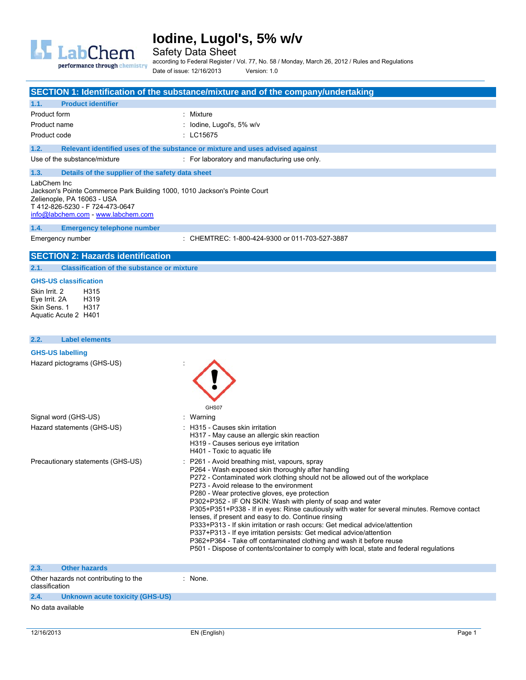

Safety Data Sheet

according to Federal Register / Vol. 77, No. 58 / Monday, March 26, 2012 / Rules and Regulations Date of issue: 12/16/2013 Version: 1.0

**SECTION 1: Identification of the substance/mixture and of the company/undertaking 1.1. Product identifier**  Product form : Mixture : Mixture Product name  $\qquad \qquad : \qquad \text{Iodine, Lugol's, 5\% w/v}$ Product code : LC15675 **1.2. Relevant identified uses of the substance or mixture and uses advised against**  Use of the substance/mixture : For laboratory and manufacturing use only. **1.3. Details of the supplier of the safety data sheet**  LabChem Inc Jackson's Pointe Commerce Park Building 1000, 1010 Jackson's Pointe Court Zelienople, PA 16063 - USA T 412-826-5230 - F 724-473-0647 [info@labchem.com](mailto:info@labchem.com) - <www.labchem.com>

#### **1.4. Emergency telephone number**

Emergency number : CHEMTREC: 1-800-424-9300 or 011-703-527-3887

### **SECTION 2: Hazards identification**

**2.1. Classification of the substance or mixture** 

### **GHS-US classification**

Skin Irrit. 2 H315 Eve Irrit. 2A Skin Sens. 1 H317 Aquatic Acute 2 H401

### **2.2. Label elements**

### **GHS-US labelling**

| Hazard pictograms (GHS-US)        | GHS07                                                                                                                                                                                                                                                                                                                                                                                                                                                                                                                                                                                                                                                                                                                                                                                                                          |
|-----------------------------------|--------------------------------------------------------------------------------------------------------------------------------------------------------------------------------------------------------------------------------------------------------------------------------------------------------------------------------------------------------------------------------------------------------------------------------------------------------------------------------------------------------------------------------------------------------------------------------------------------------------------------------------------------------------------------------------------------------------------------------------------------------------------------------------------------------------------------------|
| Signal word (GHS-US)              | : Warning                                                                                                                                                                                                                                                                                                                                                                                                                                                                                                                                                                                                                                                                                                                                                                                                                      |
| Hazard statements (GHS-US)        | : H315 - Causes skin irritation<br>H317 - May cause an allergic skin reaction<br>H319 - Causes serious eye irritation<br>H401 - Toxic to aquatic life                                                                                                                                                                                                                                                                                                                                                                                                                                                                                                                                                                                                                                                                          |
| Precautionary statements (GHS-US) | : P261 - Avoid breathing mist, vapours, spray<br>P264 - Wash exposed skin thoroughly after handling<br>P272 - Contaminated work clothing should not be allowed out of the workplace<br>P273 - Avoid release to the environment<br>P280 - Wear protective gloves, eye protection<br>P302+P352 - IF ON SKIN: Wash with plenty of soap and water<br>P305+P351+P338 - If in eyes: Rinse cautiously with water for several minutes. Remove contact<br>lenses, if present and easy to do. Continue rinsing<br>P333+P313 - If skin irritation or rash occurs: Get medical advice/attention<br>P337+P313 - If eye irritation persists: Get medical advice/attention<br>P362+P364 - Take off contaminated clothing and wash it before reuse<br>P501 - Dispose of contents/container to comply with local, state and federal regulations |
| 2.3.<br><b>Other hazards</b>      |                                                                                                                                                                                                                                                                                                                                                                                                                                                                                                                                                                                                                                                                                                                                                                                                                                |

| Other hazards not contributing to the<br>classification |                                 | None. |
|---------------------------------------------------------|---------------------------------|-------|
| 2.4.                                                    | Unknown acute toxicity (GHS-US) |       |
| .                                                       | .                               |       |

### No data available

e e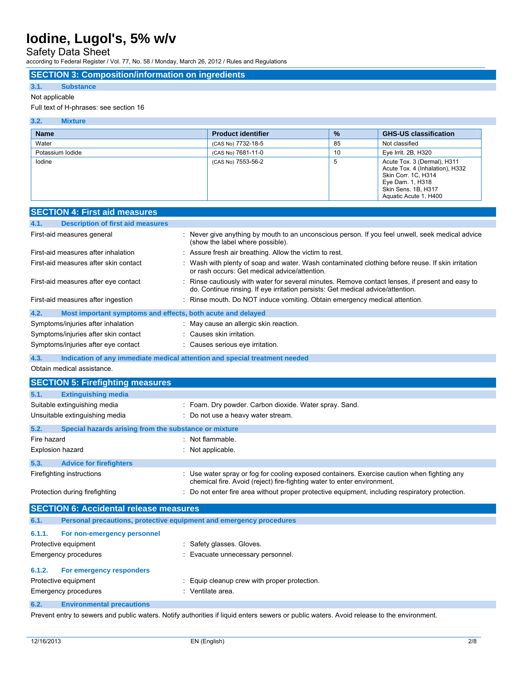Safety Data Sheet

according to Federal Register / Vol. 77, No. 58 / Monday, March 26, 2012 / Rules and Regulations

### **SECTION 3: Composition/information on ingredients**

### **3.1. Substance**

### Not applicable

### Full text of H-phrases: see section 16

| 3.2.<br><b>Mixture</b> |                           |               |                                                                                                                                                           |
|------------------------|---------------------------|---------------|-----------------------------------------------------------------------------------------------------------------------------------------------------------|
| <b>Name</b>            | <b>Product identifier</b> | $\frac{9}{6}$ | <b>GHS-US classification</b>                                                                                                                              |
| Water                  | (CAS No) 7732-18-5        | 85            | Not classified                                                                                                                                            |
| Potassium lodide       | (CAS No) 7681-11-0        | 10            | Eye Irrit. 2B, H320                                                                                                                                       |
| lodine                 | (CAS No) 7553-56-2        | 5             | Acute Tox. 3 (Dermal), H311<br>Acute Tox. 4 (Inhalation), H332<br>Skin Corr. 1C, H314<br>Eye Dam. 1, H318<br>Skin Sens. 1B, H317<br>Aquatic Acute 1, H400 |

|                  | <b>SECTION 4: First aid measures</b>                                |                                                                                                                                                                                   |
|------------------|---------------------------------------------------------------------|-----------------------------------------------------------------------------------------------------------------------------------------------------------------------------------|
| 4.1.             | <b>Description of first aid measures</b>                            |                                                                                                                                                                                   |
|                  | First-aid measures general                                          | : Never give anything by mouth to an unconscious person. If you feel unwell, seek medical advice<br>(show the label where possible).                                              |
|                  | First-aid measures after inhalation                                 | Assure fresh air breathing. Allow the victim to rest.                                                                                                                             |
|                  | First-aid measures after skin contact                               | Wash with plenty of soap and water. Wash contaminated clothing before reuse. If skin irritation<br>or rash occurs: Get medical advice/attention.                                  |
|                  | First-aid measures after eye contact                                | Rinse cautiously with water for several minutes. Remove contact lenses, if present and easy to<br>do. Continue rinsing. If eye irritation persists: Get medical advice/attention. |
|                  | First-aid measures after ingestion                                  | Rinse mouth. Do NOT induce vomiting. Obtain emergency medical attention.                                                                                                          |
| 4.2.             | Most important symptoms and effects, both acute and delayed         |                                                                                                                                                                                   |
|                  | Symptoms/injuries after inhalation                                  | : May cause an allergic skin reaction.                                                                                                                                            |
|                  | Symptoms/injuries after skin contact                                | : Causes skin irritation.                                                                                                                                                         |
|                  | Symptoms/injuries after eye contact                                 | : Causes serious eye irritation.                                                                                                                                                  |
| 4.3.             |                                                                     | Indication of any immediate medical attention and special treatment needed                                                                                                        |
|                  | Obtain medical assistance.                                          |                                                                                                                                                                                   |
|                  | <b>SECTION 5: Firefighting measures</b>                             |                                                                                                                                                                                   |
| 5.1.             | <b>Extinguishing media</b>                                          |                                                                                                                                                                                   |
|                  | Suitable extinguishing media                                        | Foam. Dry powder. Carbon dioxide. Water spray. Sand.                                                                                                                              |
|                  | Unsuitable extinguishing media                                      | Do not use a heavy water stream.                                                                                                                                                  |
| 5.2.             | Special hazards arising from the substance or mixture               |                                                                                                                                                                                   |
| Fire hazard      |                                                                     | : Not flammable.                                                                                                                                                                  |
| Explosion hazard |                                                                     | Not applicable.                                                                                                                                                                   |
| 5.3.             | <b>Advice for firefighters</b>                                      |                                                                                                                                                                                   |
|                  | Firefighting instructions                                           | Use water spray or fog for cooling exposed containers. Exercise caution when fighting any<br>chemical fire. Avoid (reject) fire-fighting water to enter environment.              |
|                  | Protection during firefighting                                      | Do not enter fire area without proper protective equipment, including respiratory protection.                                                                                     |
|                  | <b>SECTION 6: Accidental release measures</b>                       |                                                                                                                                                                                   |
| 6.1.             | Personal precautions, protective equipment and emergency procedures |                                                                                                                                                                                   |
| 6.1.1.           | For non-emergency personnel                                         |                                                                                                                                                                                   |
|                  | Protective equipment                                                | Safety glasses. Gloves.                                                                                                                                                           |
|                  | Emergency procedures                                                | Evacuate unnecessary personnel.                                                                                                                                                   |
| 6.1.2.           | For emergency responders                                            |                                                                                                                                                                                   |

## Protective equipment **interest in the Community** Equip cleanup crew with proper protection.

Emergency procedures in the set of the control of the Senate area.

### **6.2. Environmental precautions**

Prevent entry to sewers and public waters. Notify authorities if liquid enters sewers or public waters. Avoid release to the environment.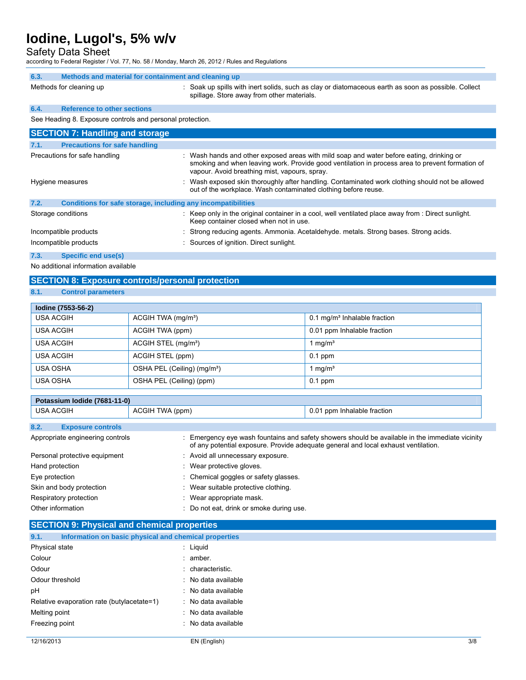Safety Data Sheet

according to Federal Register / Vol. 77, No. 58 / Monday, March 26, 2012 / Rules and Regulations

| 6.3.                                                      | Methods and material for containment and cleaning up |                                                                                                                                                   |  |  |
|-----------------------------------------------------------|------------------------------------------------------|---------------------------------------------------------------------------------------------------------------------------------------------------|--|--|
|                                                           | Methods for cleaning up                              | : Soak up spills with inert solids, such as clay or diatomaceous earth as soon as possible. Collect<br>spillage. Store away from other materials. |  |  |
| 6.4.                                                      | <b>Reference to other sections</b>                   |                                                                                                                                                   |  |  |
| See Heading 8. Exposure controls and personal protection. |                                                      |                                                                                                                                                   |  |  |
| <b>SECTION 7: Handling and storage</b>                    |                                                      |                                                                                                                                                   |  |  |

| : Wash hands and other exposed areas with mild soap and water before eating, drinking or<br>smoking and when leaving work. Provide good ventilation in process area to prevent formation of<br>vapour. Avoid breathing mist, vapours, spray. |
|----------------------------------------------------------------------------------------------------------------------------------------------------------------------------------------------------------------------------------------------|
| : Wash exposed skin thoroughly after handling. Contaminated work clothing should not be allowed<br>out of the workplace. Wash contaminated clothing before reuse.                                                                            |
| Conditions for safe storage, including any incompatibilities                                                                                                                                                                                 |
| $\therefore$ Keep only in the original container in a cool, well ventilated place away from $\therefore$ Direct sunlight.<br>Keep container closed when not in use.                                                                          |
| : Strong reducing agents. Ammonia. Acetaldehyde. metals. Strong bases. Strong acids.                                                                                                                                                         |
| : Sources of ignition. Direct sunlight.                                                                                                                                                                                                      |
|                                                                                                                                                                                                                                              |

**7.3. Specific end use(s)** 

No additional information available

## **SECTION 8: Exposure controls/personal protection**

**8.1. Control parameters** 

| lodine (7553-56-2) |                                         |                                            |  |  |  |  |
|--------------------|-----------------------------------------|--------------------------------------------|--|--|--|--|
| <b>USA ACGIH</b>   | ACGIH TWA $(mg/m3)$                     | $0.1$ mg/m <sup>3</sup> Inhalable fraction |  |  |  |  |
| <b>USA ACGIH</b>   | ACGIH TWA (ppm)                         | 0.01 ppm Inhalable fraction                |  |  |  |  |
| USA ACGIH          | ACGIH STEL (mg/m <sup>3</sup> )         | 1 mg/m $^3$                                |  |  |  |  |
| USA ACGIH          | ACGIH STEL (ppm)                        | $0.1$ ppm                                  |  |  |  |  |
| <b>USA OSHA</b>    | OSHA PEL (Ceiling) (mg/m <sup>3</sup> ) | 1 mg/m $3$                                 |  |  |  |  |
| USA OSHA           | OSHA PEL (Ceiling) (ppm)                | $0.1$ ppm                                  |  |  |  |  |

| Potassium Iodide (7681-11-0)     |                                          |                                                                                                                                                                                       |  |  |
|----------------------------------|------------------------------------------|---------------------------------------------------------------------------------------------------------------------------------------------------------------------------------------|--|--|
| <b>USA ACGIH</b>                 | ACGIH TWA (ppm)                          | 0.01 ppm Inhalable fraction                                                                                                                                                           |  |  |
| 8.2.<br><b>Exposure controls</b> |                                          |                                                                                                                                                                                       |  |  |
| Appropriate engineering controls |                                          | : Emergency eye wash fountains and safety showers should be available in the immediate vicinity<br>of any potential exposure. Provide adequate general and local exhaust ventilation. |  |  |
| Personal protective equipment    | : Avoid all unnecessary exposure.        |                                                                                                                                                                                       |  |  |
| Hand protection                  | : Wear protective gloves.                |                                                                                                                                                                                       |  |  |
| Eye protection                   | : Chemical goggles or safety glasses.    |                                                                                                                                                                                       |  |  |
| Skin and body protection         | : Wear suitable protective clothing.     |                                                                                                                                                                                       |  |  |
| Respiratory protection           | : Wear appropriate mask.                 |                                                                                                                                                                                       |  |  |
| Other information                | : Do not eat, drink or smoke during use. |                                                                                                                                                                                       |  |  |

## **SECTION 9: Physical and chemical properties**

| 9.1.            | Information on basic physical and chemical properties |                     |
|-----------------|-------------------------------------------------------|---------------------|
| Physical state  |                                                       | : Liguid            |
| Colour          |                                                       | $:$ amber.          |
| Odour           |                                                       | : characteristic.   |
| Odour threshold |                                                       | : No data available |
| pH              |                                                       | : No data available |
|                 | Relative evaporation rate (butylacetate=1)            | : No data available |
| Melting point   |                                                       | : No data available |
| Freezing point  |                                                       | : No data available |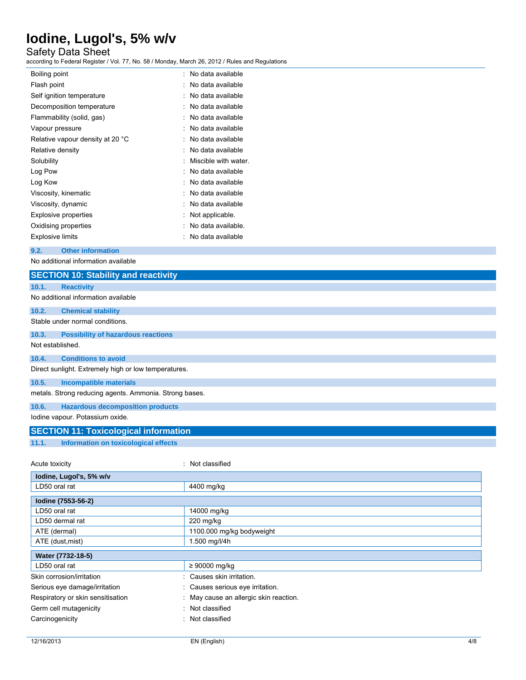## Safety Data Sheet

according to Federal Register / Vol. 77, No. 58 / Monday, March 26, 2012 / Rules and Regulations

| Boiling point                    | No data available    |
|----------------------------------|----------------------|
| Flash point                      | No data available    |
| Self ignition temperature        | No data available    |
| Decomposition temperature        | No data available    |
| Flammability (solid, gas)        | No data available    |
| Vapour pressure                  | No data available    |
| Relative vapour density at 20 °C | No data available    |
| Relative density                 | No data available    |
| Solubility                       | Miscible with water. |
| Log Pow                          | No data available    |
| Log Kow                          | No data available    |
| Viscosity, kinematic             | No data available    |
| Viscosity, dynamic               | No data available    |
| <b>Explosive properties</b>      | Not applicable.      |
| Oxidising properties             | No data available.   |
| <b>Explosive limits</b>          | No data available    |

**9.2. Other information** 

No additional information available

| <b>SECTION 10: Stability and reactivity</b>            |                                      |  |  |
|--------------------------------------------------------|--------------------------------------|--|--|
| <b>Reactivity</b><br>10.1.                             |                                      |  |  |
| No additional information available                    |                                      |  |  |
| 10.2.<br><b>Chemical stability</b>                     |                                      |  |  |
| Stable under normal conditions.                        |                                      |  |  |
| <b>Possibility of hazardous reactions</b><br>10.3.     |                                      |  |  |
| Not established.                                       |                                      |  |  |
| <b>Conditions to avoid</b><br>10.4.                    |                                      |  |  |
| Direct sunlight. Extremely high or low temperatures.   |                                      |  |  |
| 10.5.<br><b>Incompatible materials</b>                 |                                      |  |  |
| metals. Strong reducing agents. Ammonia. Strong bases. |                                      |  |  |
| 10.6.<br><b>Hazardous decomposition products</b>       |                                      |  |  |
| lodine vapour. Potassium oxide.                        |                                      |  |  |
| <b>SECTION 11: Toxicological information</b>           |                                      |  |  |
| <b>Information on toxicological effects</b><br>11.1.   |                                      |  |  |
|                                                        |                                      |  |  |
| : Not classified<br>Acute toxicity                     |                                      |  |  |
| lodine, Lugol's, 5% w/v                                |                                      |  |  |
| LD50 oral rat                                          | 4400 mg/kg                           |  |  |
| Iodine (7553-56-2)                                     |                                      |  |  |
| LD50 oral rat                                          | 14000 mg/kg                          |  |  |
| LD50 dermal rat                                        | 220 mg/kg                            |  |  |
| ATE (dermal)                                           | 1100.000 mg/kg bodyweight            |  |  |
| ATE (dust, mist)                                       | 1.500 mg/l/4h                        |  |  |
| Water (7732-18-5)                                      |                                      |  |  |
| LD50 oral rat                                          | $\geq 90000$ mg/kg                   |  |  |
| Skin corrosion/irritation                              | Causes skin irritation.              |  |  |
| Serious eye damage/irritation                          | Causes serious eye irritation.       |  |  |
| Respiratory or skin sensitisation                      | May cause an allergic skin reaction. |  |  |
| Germ cell mutagenicity                                 | Not classified                       |  |  |
| Carcinogenicity                                        | Not classified                       |  |  |
|                                                        |                                      |  |  |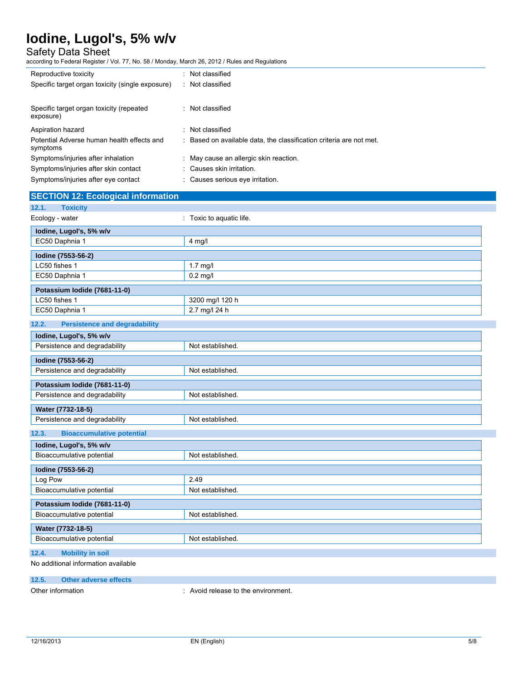Safety Data Sheet

according to Federal Register / Vol. 77, No. 58 / Monday, March 26, 2012 / Rules and Regulations

| Reproductive toxicity                                  | : Not classified                                                    |
|--------------------------------------------------------|---------------------------------------------------------------------|
| Specific target organ toxicity (single exposure)       | : Not classified                                                    |
|                                                        |                                                                     |
| Specific target organ toxicity (repeated<br>exposure)  | : Not classified                                                    |
| Aspiration hazard                                      | : Not classified                                                    |
| Potential Adverse human health effects and<br>symptoms | : Based on available data, the classification criteria are not met. |
| Symptoms/injuries after inhalation                     | : May cause an allergic skin reaction.                              |
| Symptoms/injuries after skin contact                   | : Causes skin irritation.                                           |
| Symptoms/injuries after eye contact                    | : Causes serious eye irritation.                                    |

## **SECTION 12: Ecological information**

| <b>Toxicity</b><br>12.1.                      |                          |
|-----------------------------------------------|--------------------------|
| Ecology - water                               | : Toxic to aquatic life. |
| lodine, Lugol's, 5% w/v                       |                          |
| EC50 Daphnia 1                                | $4$ mg/l                 |
| Iodine (7553-56-2)                            |                          |
| LC50 fishes 1                                 | 1.7 mg/l                 |
| EC50 Daphnia 1                                | $0.2$ mg/l               |
| Potassium Iodide (7681-11-0)                  |                          |
| LC50 fishes 1                                 | 3200 mg/l 120 h          |
| EC50 Daphnia 1                                | 2.7 mg/l 24 h            |
| 12.2.<br><b>Persistence and degradability</b> |                          |
| lodine, Lugol's, 5% w/v                       |                          |
| Persistence and degradability                 | Not established.         |
| Iodine (7553-56-2)                            |                          |
| Persistence and degradability                 | Not established.         |
| Potassium Iodide (7681-11-0)                  |                          |
| Persistence and degradability                 | Not established.         |
| Water (7732-18-5)                             |                          |
| Persistence and degradability                 | Not established.         |
| <b>Bioaccumulative potential</b><br>12.3.     |                          |
| lodine, Lugol's, 5% w/v                       |                          |
| Bioaccumulative potential                     | Not established.         |
| Iodine (7553-56-2)                            |                          |
| Log Pow                                       | 2.49                     |
| Bioaccumulative potential                     | Not established.         |
| Potassium Iodide (7681-11-0)                  |                          |
| Bioaccumulative potential                     | Not established.         |
| Water (7732-18-5)                             |                          |
| Bioaccumulative potential                     | Not established.         |
| <b>Mobility in soil</b><br>12.4.              |                          |
| No additional information available           |                          |
| 42E<br>Other adverse offects                  |                          |
|                                               |                          |

### **12.5. Other a**

Other information **contains the environment** of the environment.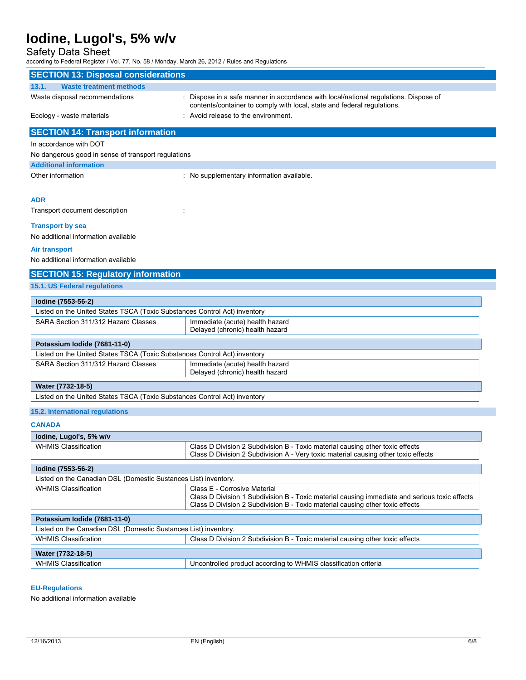## Safety Data Sheet

according to Federal Register / Vol. 77, No. 58 / Monday, March 26, 2012 / Rules and Regulations

| <b>SECTION 13: Disposal considerations</b>                                |                                                                                                                                                                                |
|---------------------------------------------------------------------------|--------------------------------------------------------------------------------------------------------------------------------------------------------------------------------|
| 13.1.<br><b>Waste treatment methods</b>                                   |                                                                                                                                                                                |
| Waste disposal recommendations                                            | : Dispose in a safe manner in accordance with local/national regulations. Dispose of                                                                                           |
|                                                                           | contents/container to comply with local, state and federal regulations.                                                                                                        |
| Ecology - waste materials                                                 | : Avoid release to the environment.                                                                                                                                            |
| <b>SECTION 14: Transport information</b>                                  |                                                                                                                                                                                |
| In accordance with DOT                                                    |                                                                                                                                                                                |
| No dangerous good in sense of transport regulations                       |                                                                                                                                                                                |
| <b>Additional information</b>                                             |                                                                                                                                                                                |
| Other information                                                         | : No supplementary information available.                                                                                                                                      |
|                                                                           |                                                                                                                                                                                |
| <b>ADR</b>                                                                |                                                                                                                                                                                |
| Transport document description                                            |                                                                                                                                                                                |
|                                                                           |                                                                                                                                                                                |
| <b>Transport by sea</b>                                                   |                                                                                                                                                                                |
| No additional information available                                       |                                                                                                                                                                                |
| Air transport                                                             |                                                                                                                                                                                |
| No additional information available                                       |                                                                                                                                                                                |
| <b>SECTION 15: Regulatory information</b>                                 |                                                                                                                                                                                |
| <b>15.1. US Federal regulations</b>                                       |                                                                                                                                                                                |
|                                                                           |                                                                                                                                                                                |
| lodine (7553-56-2)                                                        |                                                                                                                                                                                |
| Listed on the United States TSCA (Toxic Substances Control Act) inventory |                                                                                                                                                                                |
| SARA Section 311/312 Hazard Classes                                       | Immediate (acute) health hazard                                                                                                                                                |
|                                                                           | Delayed (chronic) health hazard                                                                                                                                                |
| Potassium Iodide (7681-11-0)                                              |                                                                                                                                                                                |
| Listed on the United States TSCA (Toxic Substances Control Act) inventory |                                                                                                                                                                                |
| SARA Section 311/312 Hazard Classes                                       | Immediate (acute) health hazard                                                                                                                                                |
|                                                                           | Delayed (chronic) health hazard                                                                                                                                                |
| Water (7732-18-5)                                                         |                                                                                                                                                                                |
| Listed on the United States TSCA (Toxic Substances Control Act) inventory |                                                                                                                                                                                |
| <b>15.2. International regulations</b>                                    |                                                                                                                                                                                |
|                                                                           |                                                                                                                                                                                |
| <b>CANADA</b>                                                             |                                                                                                                                                                                |
| lodine, Lugol's, 5% w/v                                                   |                                                                                                                                                                                |
| <b>WHMIS Classification</b>                                               | Class D Division 2 Subdivision B - Toxic material causing other toxic effects                                                                                                  |
|                                                                           | Class D Division 2 Subdivision A - Very toxic material causing other toxic effects                                                                                             |
| lodine (7553-56-2)                                                        |                                                                                                                                                                                |
| Listed on the Canadian DSL (Domestic Sustances List) inventory.           |                                                                                                                                                                                |
| <b>WHMIS Classification</b>                                               | Class E - Corrosive Material                                                                                                                                                   |
|                                                                           | Class D Division 1 Subdivision B - Toxic material causing immediate and serious toxic effects<br>Class D Division 2 Subdivision B - Toxic material causing other toxic effects |
|                                                                           |                                                                                                                                                                                |
| Potassium lodide (7681-11-0)                                              |                                                                                                                                                                                |
| Listed on the Canadian DSL (Domestic Sustances List) inventory.           |                                                                                                                                                                                |
| <b>WHMIS Classification</b>                                               | Class D Division 2 Subdivision B - Toxic material causing other toxic effects                                                                                                  |
| Water (7732-18-5)                                                         |                                                                                                                                                                                |
| <b>WHMIS Classification</b>                                               | Uncontrolled product according to WHMIS classification criteria                                                                                                                |
|                                                                           |                                                                                                                                                                                |

### **EU-Regulations**

No additional information available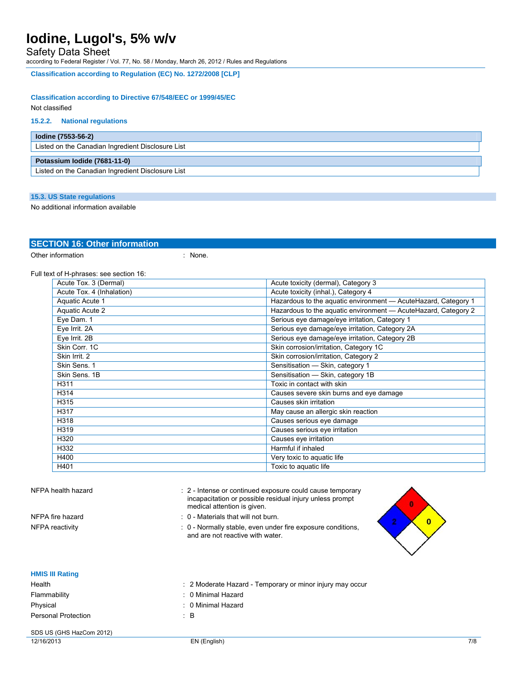Safety Data Sheet

according to Federal Register / Vol. 77, No. 58 / Monday, March 26, 2012 / Rules and Regulations

**Classification according to Regulation (EC) No. 1272/2008 [CLP]** 

### **Classification according to Directive 67/548/EEC or 1999/45/EC**

Not classified

### **15.2.2. National regulations**

| lodine (7553-56-2)                                |  |
|---------------------------------------------------|--|
| Listed on the Canadian Ingredient Disclosure List |  |
| Potassium Iodide (7681-11-0)                      |  |
| Listed on the Canadian Ingredient Disclosure List |  |

### **15.3. US State regulations**

No additional information available

### **SECTION 16: Other information**

Other information : None.

Full text of H-phrases: see section 16:

| Acute Tox. 3 (Dermal)                                                             | Acute toxicity (dermal), Category 3     |  |
|-----------------------------------------------------------------------------------|-----------------------------------------|--|
| Acute Tox. 4 (Inhalation)<br>Acute toxicity (inhal.), Category 4                  |                                         |  |
| Aquatic Acute 1<br>Hazardous to the aquatic environment - AcuteHazard, Category 1 |                                         |  |
| Aquatic Acute 2<br>Hazardous to the aquatic environment - AcuteHazard, Category 2 |                                         |  |
| Eye Dam. 1<br>Serious eye damage/eye irritation, Category 1                       |                                         |  |
| Eye Irrit. 2A<br>Serious eye damage/eye irritation, Category 2A                   |                                         |  |
| Eye Irrit. 2B<br>Serious eye damage/eye irritation, Category 2B                   |                                         |  |
| Skin Corr. 1C                                                                     | Skin corrosion/irritation, Category 1C  |  |
| Skin Irrit. 2                                                                     | Skin corrosion/irritation, Category 2   |  |
| Skin Sens. 1                                                                      | Sensitisation - Skin, category 1        |  |
| Skin Sens, 1B                                                                     | Sensitisation - Skin, category 1B       |  |
| H311                                                                              | Toxic in contact with skin              |  |
| H314                                                                              | Causes severe skin burns and eye damage |  |
| H315                                                                              | Causes skin irritation                  |  |
| May cause an allergic skin reaction<br>H317                                       |                                         |  |
| H318                                                                              | Causes serious eye damage               |  |
| H319                                                                              | Causes serious eye irritation           |  |
| H320                                                                              | Causes eye irritation                   |  |
| H332                                                                              | Harmful if inhaled                      |  |
| H400                                                                              | Very toxic to aquatic life              |  |
| H401<br>Toxic to aquatic life                                                     |                                         |  |
|                                                                                   |                                         |  |

| NFPA health hazard |  |  |  |
|--------------------|--|--|--|
|--------------------|--|--|--|

: 2 - Intense or continued exposure could cause temporary incapacitation or possible residual injury unless prompt medical attention is given.

- NFPA fire hazard **in the set of the set of the SNFPA** fire hazard in the set of the set of the set of the set of the set of the set of the set of the set of the set of the set of the set of the set of the set of the set of
- NFPA reactivity **interpretatal reactivity** : 0 Normally stable, even under fire exposure conditions, and are not reactive with water.



| <b>HMIS III Rating</b> |                                                           |
|------------------------|-----------------------------------------------------------|
| Health                 | : 2 Moderate Hazard - Temporary or minor injury may occur |
| Flammability           | : 0 Minimal Hazard                                        |
| Physical               | : 0 Minimal Hazard                                        |
| Personal Protection    | ÷В                                                        |

## SDS US (GHS HazCom 2012)